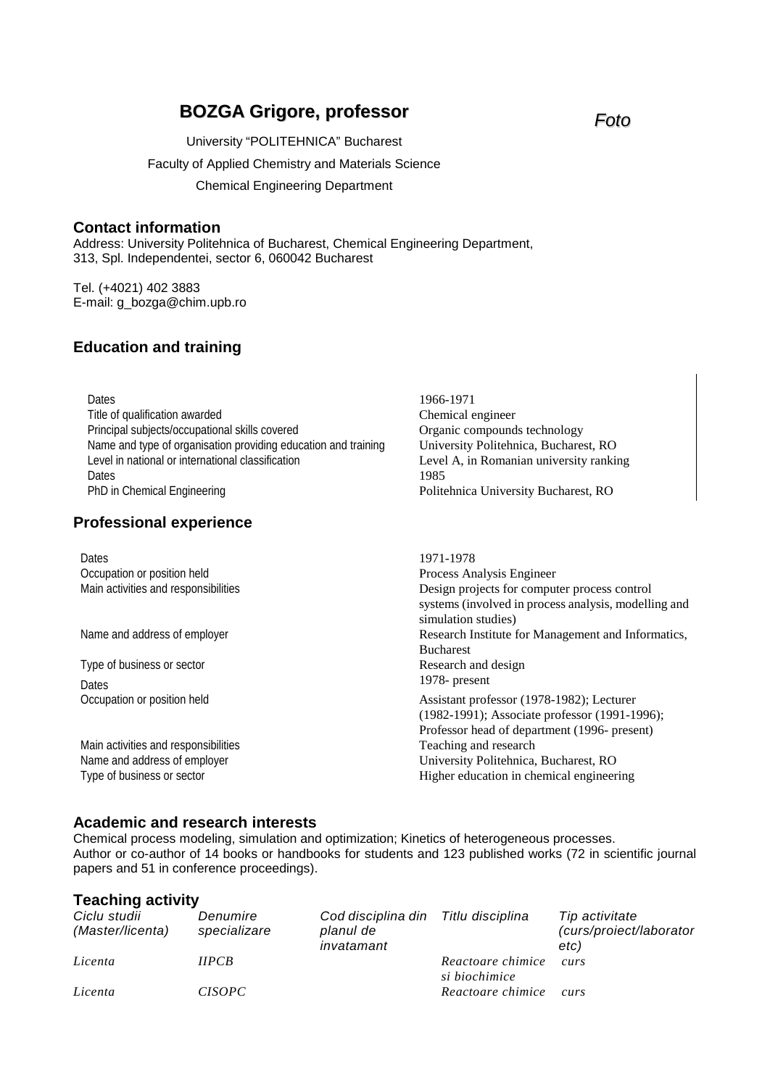# **BOZGA Grigore, professor** *Foto*

University "POLITEHNICA" Bucharest Faculty of Applied Chemistry and Materials Science Chemical Engineering Department

#### **Contact information**

Address: University Politehnica of Bucharest, Chemical Engineering Department, 313, Spl. Independentei, sector 6, 060042 Bucharest

Tel. (+4021) 402 3883 E-mail: g\_bozga@chim.upb.ro

# **Education and training**

Dates 1966-1971 Title of qualification awarded Chemical engineer Principal subjects/occupational skills covered Organic compounds technology Name and type of organisation providing education and training University Politehnica, Bucharest, RO Level in national or international classification Level A, in Romanian university ranking Dates and the set of the set of the set of the set of the set of the set of the set of the set of the set of the set of the set of the set of the set of the set of the set of the set of the set of the set of the set of the PhD in Chemical Engineering **Politehnica University Bucharest, RO** 

# **Professional experience**

Dates 1971-1978 Occupation or position held<br>
Main activities and responsibilities<br>
Main activities and responsibilities<br>
Process Analysis Engineer<br>
Design projects for compu Design projects for computer process control systems (involved in process analysis, modelling and simulation studies) Name and address of employer **Research Institute for Management and Informatics**, Bucharest Type of business or sector **Research and design** Dates 1978- present Occupation or position held Assistant professor (1978-1982); Lecturer (1982-1991); Associate professor (1991-1996); Professor head of department (1996- present) Main activities and responsibilities Teaching and research Name and address of employer **Name and address of employer** University Politehnica, Bucharest, RO Type of business or sector Type of business or sector  $\Box$  Higher education in chemical engineering

# **Academic and research interests**

Chemical process modeling, simulation and optimization; Kinetics of heterogeneous processes. Author or co-author of 14 books or handbooks for students and 123 published works (72 in scientific journal papers and 51 in conference proceedings).

#### **Teaching activity**

| Ciclu studii<br>(Master/licenta) | Denumire<br>specializare | Cod disciplina din Titlu disciplina<br>planul de<br>invatamant |                                    | Tip activitate<br>(curs/proiect/laborator<br>etc) |
|----------------------------------|--------------------------|----------------------------------------------------------------|------------------------------------|---------------------------------------------------|
| Licenta                          | HPCB                     |                                                                | Reactoare chimice<br>si biochimice | curs                                              |
| Licenta                          | <i>CISOPC</i>            |                                                                | Reactoare chimice                  | curs                                              |